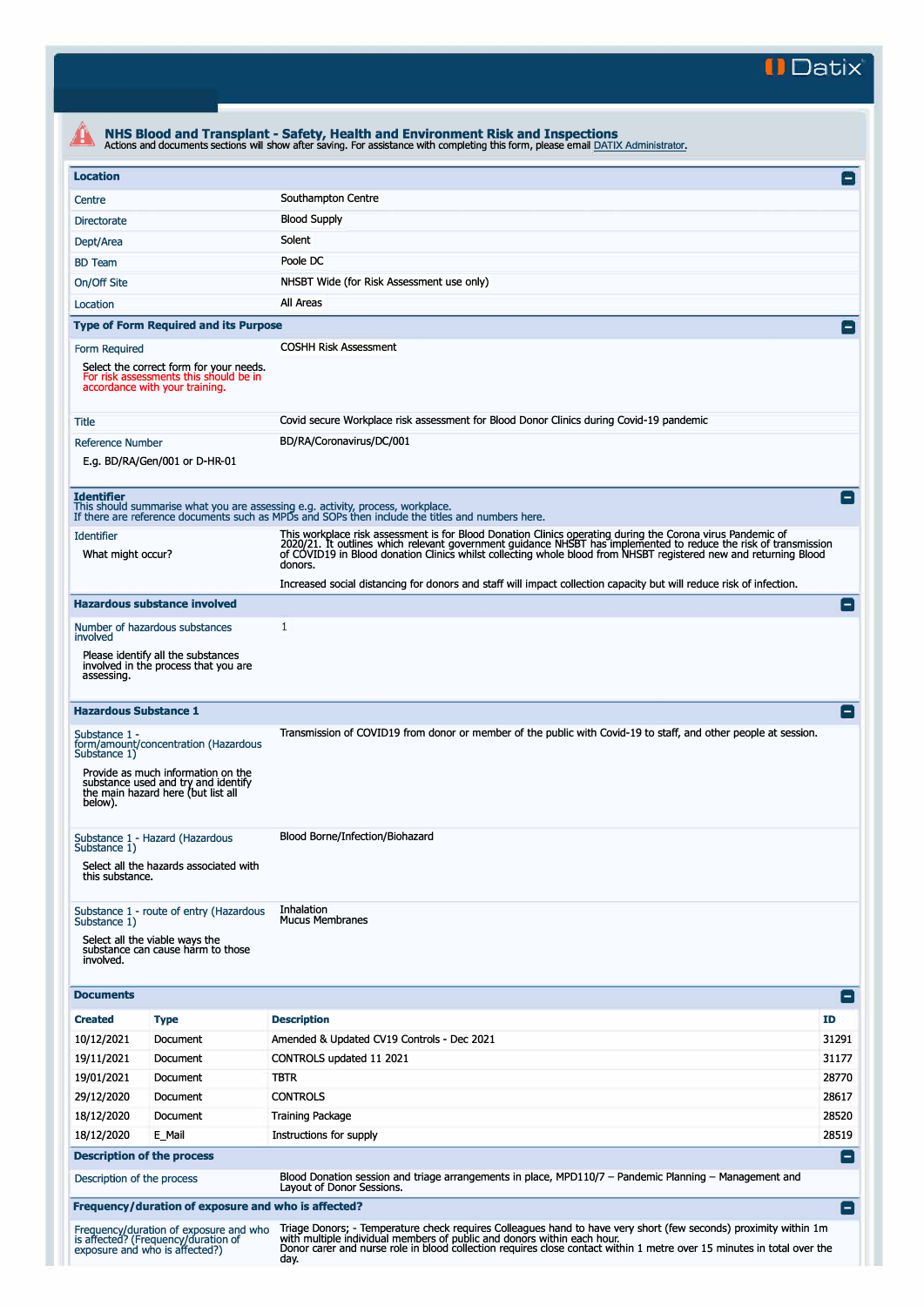**II Datix'** 

| <b>Location</b>                                                                                              |                                                                                                                                                         |                                                                                                                                                                                                                                                                                                                                                               | $\mathsf{L}$   |
|--------------------------------------------------------------------------------------------------------------|---------------------------------------------------------------------------------------------------------------------------------------------------------|---------------------------------------------------------------------------------------------------------------------------------------------------------------------------------------------------------------------------------------------------------------------------------------------------------------------------------------------------------------|----------------|
| Centre                                                                                                       |                                                                                                                                                         | Southampton Centre                                                                                                                                                                                                                                                                                                                                            |                |
| <b>Directorate</b>                                                                                           |                                                                                                                                                         | <b>Blood Supply</b>                                                                                                                                                                                                                                                                                                                                           |                |
| Dept/Area                                                                                                    |                                                                                                                                                         | Solent                                                                                                                                                                                                                                                                                                                                                        |                |
| <b>BD</b> Team                                                                                               |                                                                                                                                                         | Poole DC                                                                                                                                                                                                                                                                                                                                                      |                |
| On/Off Site                                                                                                  |                                                                                                                                                         | NHSBT Wide (for Risk Assessment use only)                                                                                                                                                                                                                                                                                                                     |                |
| Location                                                                                                     |                                                                                                                                                         | All Areas                                                                                                                                                                                                                                                                                                                                                     |                |
|                                                                                                              | <b>Type of Form Required and its Purpose</b>                                                                                                            |                                                                                                                                                                                                                                                                                                                                                               |                |
| Form Required                                                                                                | Select the correct form for your needs.<br>For risk assessments this should be in<br>accordance with your training.                                     | <b>COSHH Risk Assessment</b>                                                                                                                                                                                                                                                                                                                                  |                |
| Title                                                                                                        |                                                                                                                                                         | Covid secure Workplace risk assessment for Blood Donor Clinics during Covid-19 pandemic                                                                                                                                                                                                                                                                       |                |
| <b>Reference Number</b>                                                                                      | E.g. BD/RA/Gen/001 or D-HR-01                                                                                                                           | BD/RA/Coronavirus/DC/001                                                                                                                                                                                                                                                                                                                                      |                |
| <b>Identifier</b>                                                                                            |                                                                                                                                                         | This should summarise what you are assessing e.g. activity, process, workplace.<br>If there are reference documents such as MPDs and SOPs then include the titles and numbers here.                                                                                                                                                                           |                |
| <b>Identifier</b><br>What might occur?                                                                       |                                                                                                                                                         | This workplace risk assessment is for Blood Donation Clinics operating during the Corona virus Pandemic of<br>2020/21. It outlines which relevant government guidance NHSBT has implemented to reduce the risk of transmission<br>of COVID19 in Blood donation Clinics whilst collecting whole blood from NHSBT registered new and returning Blood<br>donors. |                |
|                                                                                                              |                                                                                                                                                         | Increased social distancing for donors and staff will impact collection capacity but will reduce risk of infection.                                                                                                                                                                                                                                           |                |
|                                                                                                              | <b>Hazardous substance involved</b>                                                                                                                     |                                                                                                                                                                                                                                                                                                                                                               |                |
| involved                                                                                                     | Number of hazardous substances                                                                                                                          | 1                                                                                                                                                                                                                                                                                                                                                             |                |
| assessing.                                                                                                   | Please identify all the substances<br>involved in the process that you are                                                                              |                                                                                                                                                                                                                                                                                                                                                               |                |
| <b>Hazardous Substance 1</b>                                                                                 |                                                                                                                                                         |                                                                                                                                                                                                                                                                                                                                                               |                |
| Substance 1 -<br>Substance 1)<br>below).                                                                     | form/amount/concentration (Hazardous<br>Provide as much information on the<br>substance used and try and identify<br>the main hazard here (but list all | Transmission of COVID19 from donor or member of the public with Covid-19 to staff, and other people at session.                                                                                                                                                                                                                                               |                |
| Substance 1 - Hazard (Hazardous<br>Substance 1)<br>Select all the hazards associated with<br>this substance. |                                                                                                                                                         | Blood Borne/Infection/Biohazard                                                                                                                                                                                                                                                                                                                               |                |
| Substance 1)<br>involved.                                                                                    | Substance 1 - route of entry (Hazardous<br>Select all the viable ways the<br>substance can cause harm to those                                          | Inhalation<br><b>Mucus Membranes</b>                                                                                                                                                                                                                                                                                                                          |                |
| <b>Documents</b>                                                                                             |                                                                                                                                                         |                                                                                                                                                                                                                                                                                                                                                               | $\blacksquare$ |
| <b>Created</b>                                                                                               | <b>Type</b>                                                                                                                                             | <b>Description</b>                                                                                                                                                                                                                                                                                                                                            | ID             |
| 10/12/2021                                                                                                   | Document                                                                                                                                                | Amended & Updated CV19 Controls - Dec 2021                                                                                                                                                                                                                                                                                                                    | 31291          |
| 19/11/2021                                                                                                   | Document                                                                                                                                                | CONTROLS updated 11 2021                                                                                                                                                                                                                                                                                                                                      | 31177          |
| 19/01/2021                                                                                                   | Document                                                                                                                                                | <b>TBTR</b>                                                                                                                                                                                                                                                                                                                                                   | 28770          |
| 29/12/2020                                                                                                   | Document                                                                                                                                                | <b>CONTROLS</b>                                                                                                                                                                                                                                                                                                                                               | 28617          |
| 18/12/2020                                                                                                   | Document                                                                                                                                                | Training Package                                                                                                                                                                                                                                                                                                                                              | 28520          |
| 18/12/2020                                                                                                   | E_Mail                                                                                                                                                  | Instructions for supply                                                                                                                                                                                                                                                                                                                                       | 28519          |
|                                                                                                              | <b>Description of the process</b>                                                                                                                       |                                                                                                                                                                                                                                                                                                                                                               | $\blacksquare$ |
| Description of the process                                                                                   |                                                                                                                                                         | Blood Donation session and triage arrangements in place, MPD110/7 - Pandemic Planning - Management and<br>Layout of Donor Sessions.                                                                                                                                                                                                                           |                |
|                                                                                                              | Frequency/duration of exposure and who is affected?                                                                                                     |                                                                                                                                                                                                                                                                                                                                                               | Ξ              |
|                                                                                                              | Frequency/duration of exposure and who<br>is affected? (Frequency/duration of<br>exposure and who is affected?)                                         | Triage Donors; - Temperature check requires Colleagues hand to have very short (few seconds) proximity within 1m<br>with multiple individual members of public and donors within each hour.<br>Donor carer and nurse role in blood collection requires close contact within 1 metre over 15 minutes in total over the<br>day.                                 |                |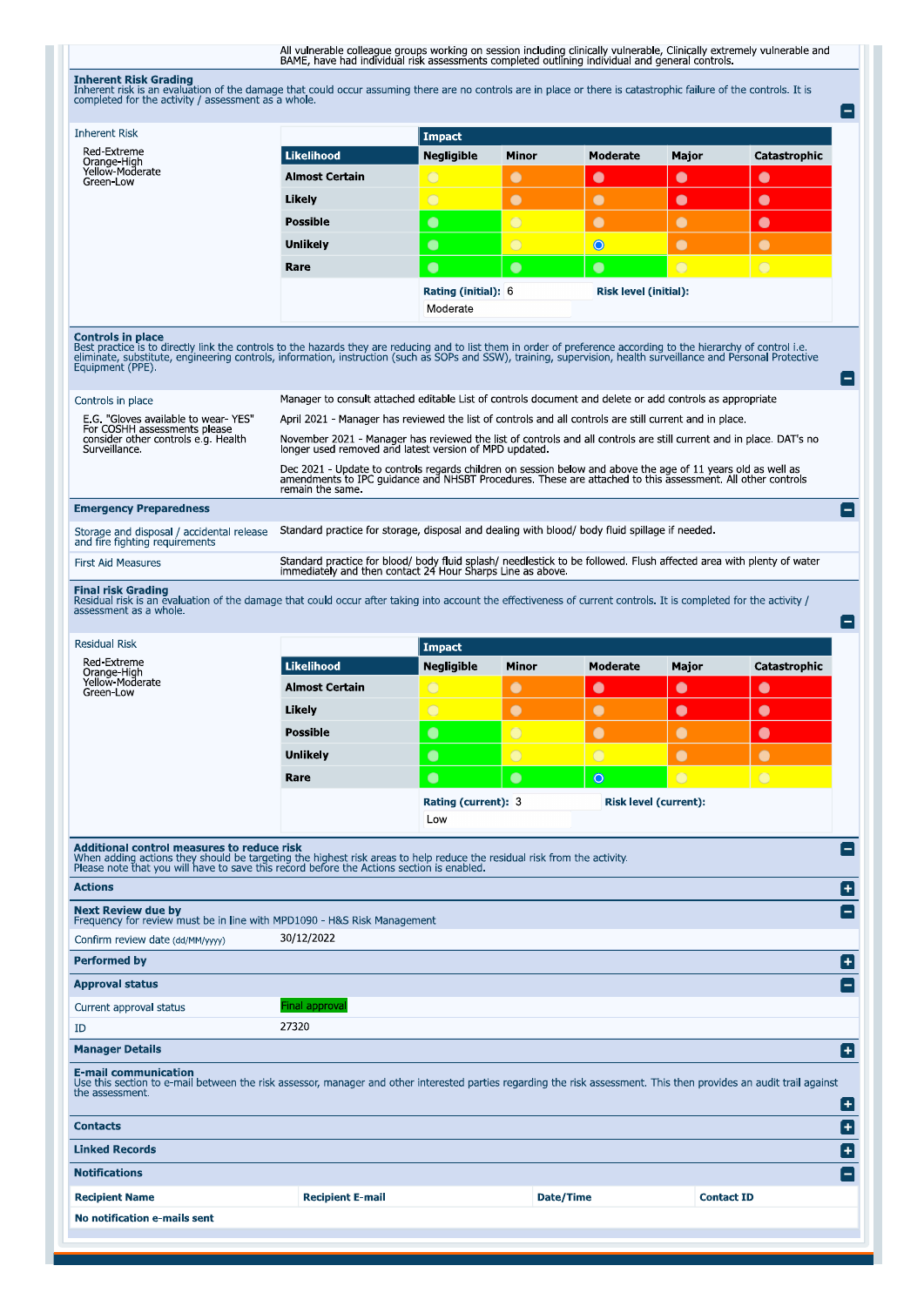All vulnerable colleague groups working on session including dinically vulnerable, Clinically extremely vulnerable and<br>BAME, have had individual risk assessments completed outlining individual and general controls.

**Inherent Risk Grading** 

| Threfent risk is an evaluation of the damage that could occur assuming there are no controls are in place or there is catastrophic failure of the controls. It is<br>completed for the activity / assessment as a whole.                                                                                                                                                               |                                                                                                                                                                                                                                                |                                                                                                                                                                               |                |                       |                              |              |  |  |  |
|----------------------------------------------------------------------------------------------------------------------------------------------------------------------------------------------------------------------------------------------------------------------------------------------------------------------------------------------------------------------------------------|------------------------------------------------------------------------------------------------------------------------------------------------------------------------------------------------------------------------------------------------|-------------------------------------------------------------------------------------------------------------------------------------------------------------------------------|----------------|-----------------------|------------------------------|--------------|--|--|--|
| <b>Inherent Risk</b>                                                                                                                                                                                                                                                                                                                                                                   |                                                                                                                                                                                                                                                | <b>Impact</b>                                                                                                                                                                 |                |                       |                              |              |  |  |  |
| Red-Extreme<br>Orange-High                                                                                                                                                                                                                                                                                                                                                             | <b>Likelihood</b>                                                                                                                                                                                                                              | <b>Negligible</b>                                                                                                                                                             | <b>Minor</b>   | <b>Moderate</b>       | Major                        | Catastrophic |  |  |  |
| Yellow-Moderate<br>Green-Low                                                                                                                                                                                                                                                                                                                                                           | <b>Almost Certain</b>                                                                                                                                                                                                                          | $\bigcirc$                                                                                                                                                                    | $\bullet$      | $\bullet$             | $\bullet$                    | $\bullet$    |  |  |  |
|                                                                                                                                                                                                                                                                                                                                                                                        | Likely                                                                                                                                                                                                                                         | $\bigcirc$                                                                                                                                                                    | $\bullet$      | $\bullet$             | $\bullet$                    | $\bullet$    |  |  |  |
|                                                                                                                                                                                                                                                                                                                                                                                        | <b>Possible</b>                                                                                                                                                                                                                                | $\bullet$                                                                                                                                                                     | $\bigcirc$     | $\bullet$             | $\bullet$                    | $\bullet$    |  |  |  |
|                                                                                                                                                                                                                                                                                                                                                                                        | <b>Unlikely</b>                                                                                                                                                                                                                                | $\bullet$                                                                                                                                                                     | $\overline{O}$ | $\bullet$             | $\bullet$                    | $\bullet$    |  |  |  |
|                                                                                                                                                                                                                                                                                                                                                                                        | Rare                                                                                                                                                                                                                                           | $\bullet$                                                                                                                                                                     | $\bullet$      | $\bullet$             | $\bigcirc$                   | $\bigcirc$   |  |  |  |
|                                                                                                                                                                                                                                                                                                                                                                                        |                                                                                                                                                                                                                                                | Rating (initial): 6<br>Moderate                                                                                                                                               |                | Risk level (initial): |                              |              |  |  |  |
| <b>Controls in place</b><br>Best practice is to directly link the controls to the hazards they are reducing and to list them in order of preference according to the hierarchy of control i.e.<br>eliminate, substitute, engineering controls, information, instruction (such as SOPs and SSW), training, supervision, health surveillance and Personal Protective<br>Equipment (PPE). |                                                                                                                                                                                                                                                |                                                                                                                                                                               |                |                       |                              |              |  |  |  |
| Controls in place                                                                                                                                                                                                                                                                                                                                                                      | Manager to consult attached editable List of controls document and delete or add controls as appropriate                                                                                                                                       |                                                                                                                                                                               |                |                       |                              |              |  |  |  |
| E.G. "Gloves available to wear- YES"<br>For COSHH assessments please                                                                                                                                                                                                                                                                                                                   | April 2021 - Manager has reviewed the list of controls and all controls are still current and in place.                                                                                                                                        |                                                                                                                                                                               |                |                       |                              |              |  |  |  |
| consider other controls e.g. Health<br>Surveillance.                                                                                                                                                                                                                                                                                                                                   |                                                                                                                                                                                                                                                | November 2021 - Manager has reviewed the list of controls and all controls are still current and in place. DAT's no<br>longer used removed and latest version of MPD updated. |                |                       |                              |              |  |  |  |
|                                                                                                                                                                                                                                                                                                                                                                                        | Dec 2021 - Update to controls regards children on session below and above the age of 11 years old as well as<br>amendments to IPC quidance and NHSBT Procedures. These are attached to this assessment. All other controls<br>remain the same. |                                                                                                                                                                               |                |                       |                              |              |  |  |  |
| <b>Emergency Preparedness</b>                                                                                                                                                                                                                                                                                                                                                          |                                                                                                                                                                                                                                                |                                                                                                                                                                               |                |                       |                              |              |  |  |  |
| Storage and disposal / accidental release<br>and fire fighting requirements                                                                                                                                                                                                                                                                                                            | Standard practice for storage, disposal and dealing with blood/ body fluid spillage if needed.                                                                                                                                                 |                                                                                                                                                                               |                |                       |                              |              |  |  |  |
| <b>First Aid Measures</b>                                                                                                                                                                                                                                                                                                                                                              | Standard practice for blood/ body fluid splash/ needlestick to be followed. Flush affected area with plenty of water<br>immediately and then contact 24 Hour Sharps Line as above                                                              |                                                                                                                                                                               |                |                       |                              |              |  |  |  |
| <b>Residual Risk</b><br>Red-Extreme<br>Orange-High                                                                                                                                                                                                                                                                                                                                     | <b>Likelihood</b>                                                                                                                                                                                                                              | <b>Impact</b><br>Negligible                                                                                                                                                   | Minor          | Moderate              | Major                        | Catastrophic |  |  |  |
| Yellow-Moderate<br>Green Low                                                                                                                                                                                                                                                                                                                                                           | <b>Almost Certain</b>                                                                                                                                                                                                                          | O                                                                                                                                                                             | C              | $\bullet$             | $\bullet$                    | $\bullet$    |  |  |  |
|                                                                                                                                                                                                                                                                                                                                                                                        | Likely                                                                                                                                                                                                                                         | $\overline{O}$                                                                                                                                                                | $\bullet$      | $\bullet$             | $\bullet$                    | $\bullet$    |  |  |  |
|                                                                                                                                                                                                                                                                                                                                                                                        | Possible                                                                                                                                                                                                                                       | $\bullet$                                                                                                                                                                     | $\overline{O}$ | $\bullet$             | $\bullet$                    | $\bullet$    |  |  |  |
|                                                                                                                                                                                                                                                                                                                                                                                        | <b>Unlikely</b>                                                                                                                                                                                                                                | $\bullet$                                                                                                                                                                     | $\overline{O}$ | $\bigcirc$            | $\bullet$                    | $\bullet$    |  |  |  |
|                                                                                                                                                                                                                                                                                                                                                                                        | Rare                                                                                                                                                                                                                                           | $\bullet$                                                                                                                                                                     | $\bullet$      | $\circ$               | $\bigcap$                    | $\bigcap$    |  |  |  |
|                                                                                                                                                                                                                                                                                                                                                                                        |                                                                                                                                                                                                                                                | Rating (current): 3<br>Low                                                                                                                                                    |                |                       | <b>Risk level (current):</b> |              |  |  |  |
| <b>Additional control measures to reduce risk</b><br>When adding actions they should be targeting the highest risk areas to help reduce the residual risk from the activity.<br>Please note that you will have to save this record before the Actions section is enabled.                                                                                                              |                                                                                                                                                                                                                                                |                                                                                                                                                                               |                |                       |                              |              |  |  |  |
| <b>Actions</b>                                                                                                                                                                                                                                                                                                                                                                         |                                                                                                                                                                                                                                                |                                                                                                                                                                               |                |                       |                              |              |  |  |  |
| <b>Next Review due by</b><br>Frequency for review must be in line with MPD1090 - H&S Risk Management                                                                                                                                                                                                                                                                                   |                                                                                                                                                                                                                                                |                                                                                                                                                                               |                |                       |                              |              |  |  |  |
| Confirm review date (dd/MM/yyyy)                                                                                                                                                                                                                                                                                                                                                       | 30/12/2022                                                                                                                                                                                                                                     |                                                                                                                                                                               |                |                       |                              |              |  |  |  |
| <b>Performed by</b>                                                                                                                                                                                                                                                                                                                                                                    |                                                                                                                                                                                                                                                |                                                                                                                                                                               |                |                       |                              |              |  |  |  |
| <b>Approval status</b>                                                                                                                                                                                                                                                                                                                                                                 |                                                                                                                                                                                                                                                |                                                                                                                                                                               |                |                       |                              |              |  |  |  |
| Current approval status                                                                                                                                                                                                                                                                                                                                                                | Final approval                                                                                                                                                                                                                                 |                                                                                                                                                                               |                |                       |                              |              |  |  |  |
| ID                                                                                                                                                                                                                                                                                                                                                                                     | 27320                                                                                                                                                                                                                                          |                                                                                                                                                                               |                |                       |                              |              |  |  |  |
| <b>Manager Details</b>                                                                                                                                                                                                                                                                                                                                                                 |                                                                                                                                                                                                                                                |                                                                                                                                                                               |                |                       |                              |              |  |  |  |
| E-mail communication<br>Use this section to e-mail between the risk assessor, manager and other interested parties regarding the risk assessment. This then provides an audit trail against<br>the assessment.                                                                                                                                                                         |                                                                                                                                                                                                                                                |                                                                                                                                                                               |                |                       |                              |              |  |  |  |
| <b>Contacts</b>                                                                                                                                                                                                                                                                                                                                                                        |                                                                                                                                                                                                                                                |                                                                                                                                                                               |                |                       |                              |              |  |  |  |
|                                                                                                                                                                                                                                                                                                                                                                                        |                                                                                                                                                                                                                                                |                                                                                                                                                                               |                |                       |                              |              |  |  |  |

| <b>Linked Records</b>        |                         |           | Æ                        |  |
|------------------------------|-------------------------|-----------|--------------------------|--|
| <b>Notifications</b>         |                         |           | $\overline{\phantom{a}}$ |  |
| <b>Recipient Name</b>        | <b>Recipient E-mail</b> | Date/Time | <b>Contact ID</b>        |  |
| No notification e-mails sent |                         |           |                          |  |
|                              |                         |           |                          |  |